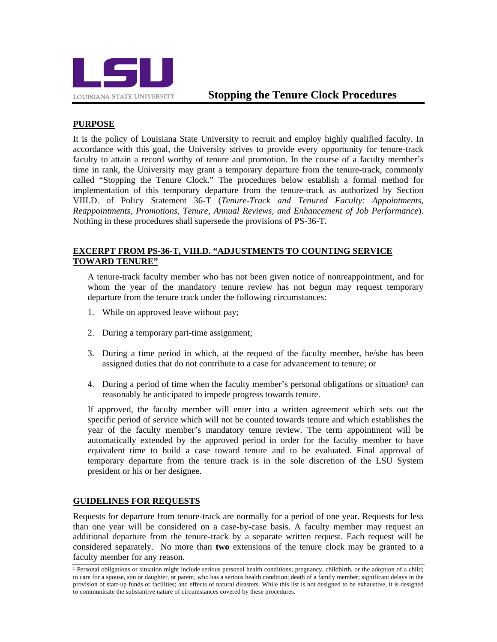

# **PURPOSE**

It is the policy of Louisiana State University to recruit and employ highly qualified faculty. In accordance with this goal, the University strives to provide every opportunity for tenure-track faculty to attain a record worthy of tenure and promotion. In the course of a faculty member's time in rank, the University may grant a temporary departure from the tenure-track, commonly called "Stopping the Tenure Clock." The procedures below establish a formal method for implementation of this temporary departure from the tenure-track as authorized by Section VIII.D. of Policy Statement 36-T (*Tenure-Track and Tenured Faculty: Appointments, Reappointments, Promotions, Tenure, Annual Reviews, and Enhancement of Job Performance*). Nothing in these procedures shall supersede the provisions of PS-36-T.

### **EXCERPT FROM PS-36-T, VIII.D. "ADJUSTMENTS TO COUNTING SERVICE TOWARD TENURE"**

A tenure-track faculty member who has not been given notice of nonreappointment, and for whom the year of the mandatory tenure review has not begun may request temporary departure from the tenure track under the following circumstances:

- 1. While on approved leave without pay;
- 2. During a temporary part-time assignment;
- 3. During a time period in which, at the request of the faculty member, he/she has been assigned duties that do not contribute to a case for advancement to tenure; or
- 4. During a period of time when the faculty member's personal obligations or situation<sup>1</sup> can reasonably be anticipated to impede progress towards tenure.

If approved, the faculty member will enter into a written agreement which sets out the specific period of service which will not be counted towards tenure and which establishes the year of the faculty member's mandatory tenure review. The term appointment will be automatically extended by the approved period in order for the faculty member to have equivalent time to build a case toward tenure and to be evaluated. Final approval of temporary departure from the tenure track is in the sole discretion of the LSU System president or his or her designee.

## **GUIDELINES FOR REQUESTS**

Requests for departure from tenure-track are normally for a period of one year. Requests for less than one year will be considered on a case-by-case basis. A faculty member may request an additional departure from the tenure-track by a separate written request. Each request will be considered separately. No more than **two** extensions of the tenure clock may be granted to a faculty member for any reason.

<sup>&</sup>lt;sup>1</sup> Personal obligations or situation might include serious personal health conditions; pregnancy, childbirth, or the adoption of a child; to care for a spouse, son or daughter, or parent, who has a serious health condition; death of a family member; significant delays in the provision of start-up funds or facilities; and effects of natural disasters. While this list is not designed to be exhaustive, it is designed to communicate the substantive nature of circumstances covered by these procedures.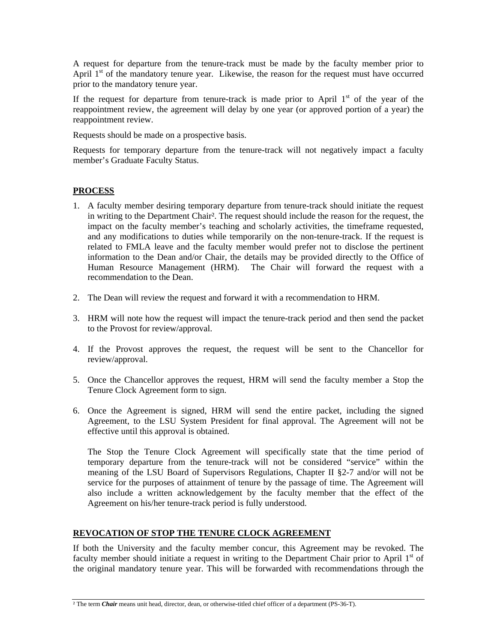A request for departure from the tenure-track must be made by the faculty member prior to April  $1<sup>st</sup>$  of the mandatory tenure year. Likewise, the reason for the request must have occurred prior to the mandatory tenure year.

If the request for departure from tenure-track is made prior to April  $1<sup>st</sup>$  of the year of the reappointment review, the agreement will delay by one year (or approved portion of a year) the reappointment review.

Requests should be made on a prospective basis.

Requests for temporary departure from the tenure-track will not negatively impact a faculty member's Graduate Faculty Status.

#### **PROCESS**

- 1. A faculty member desiring temporary departure from tenure-track should initiate the request in writing to the Department Chair². The request should include the reason for the request, the impact on the faculty member's teaching and scholarly activities, the timeframe requested, and any modifications to duties while temporarily on the non-tenure-track. If the request is related to FMLA leave and the faculty member would prefer not to disclose the pertinent information to the Dean and/or Chair, the details may be provided directly to the Office of Human Resource Management (HRM). The Chair will forward the request with a recommendation to the Dean.
- 2. The Dean will review the request and forward it with a recommendation to HRM.
- 3. HRM will note how the request will impact the tenure-track period and then send the packet to the Provost for review/approval.
- 4. If the Provost approves the request, the request will be sent to the Chancellor for review/approval.
- 5. Once the Chancellor approves the request, HRM will send the faculty member a Stop the Tenure Clock Agreement form to sign.
- 6. Once the Agreement is signed, HRM will send the entire packet, including the signed Agreement, to the LSU System President for final approval. The Agreement will not be effective until this approval is obtained.

The Stop the Tenure Clock Agreement will specifically state that the time period of temporary departure from the tenure-track will not be considered "service" within the meaning of the LSU Board of Supervisors Regulations, Chapter II §2-7 and/or will not be service for the purposes of attainment of tenure by the passage of time. The Agreement will also include a written acknowledgement by the faculty member that the effect of the Agreement on his/her tenure-track period is fully understood.

#### **REVOCATION OF STOP THE TENURE CLOCK AGREEMENT**

If both the University and the faculty member concur, this Agreement may be revoked. The faculty member should initiate a request in writing to the Department Chair prior to April  $1<sup>st</sup>$  of the original mandatory tenure year. This will be forwarded with recommendations through the

<sup>&</sup>lt;sup>2</sup> The term *Chair* means unit head, director, dean, or otherwise-titled chief officer of a department (PS-36-T).